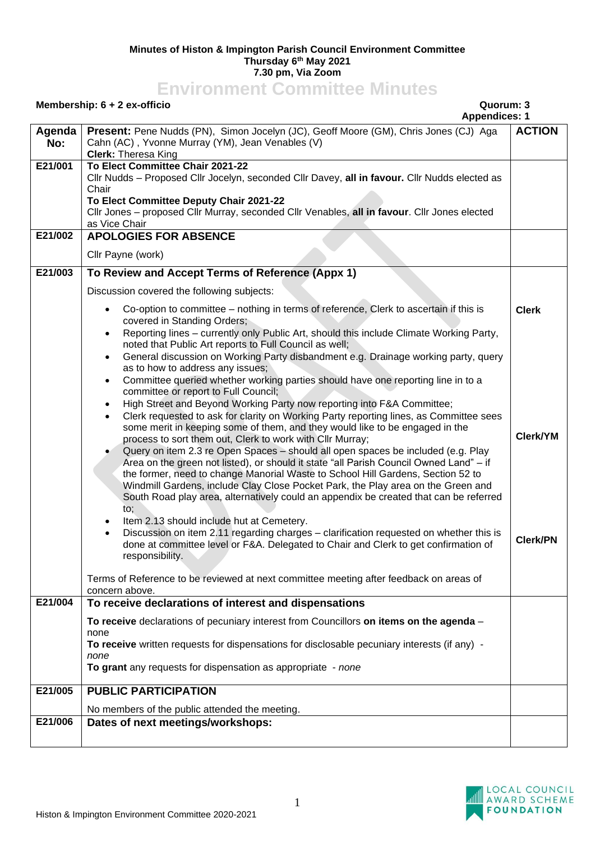## **Minutes of Histon & Impington Parish Council Environment Committee Thursday 6th May 2021 7.30 pm, Via Zoom**

## **Environment Committee Minutes**

**Agenda No:**

**Membership: 6 + 2 ex-officio Quorum: 3 Appendices: 1 Present:** Pene Nudds (PN), Simon Jocelyn (JC), Geoff Moore (GM), Chris Jones (CJ) Aga Cahn (AC) , Yvonne Murray (YM), Jean Venables (V) **Clerk:** Theresa King **ACTION E21/001 To Elect Committee Chair 2021-22** Cllr Nudds – Proposed Cllr Jocelyn, seconded Cllr Davey, **all in favour.** Cllr Nudds elected as **Chair To Elect Committee Deputy Chair 2021-22** Cllr Jones – proposed Cllr Murray, seconded Cllr Venables, **all in favour**. Cllr Jones elected as Vice Chair **E21/002 APOLOGIES FOR ABSENCE** Cllr Payne (work) **E21/003 To Review and Accept Terms of Reference (Appx 1)** Discussion covered the following subjects: • Co-option to committee – nothing in terms of reference, Clerk to ascertain if this is covered in Standing Orders; • Reporting lines – currently only Public Art, should this include Climate Working Party, noted that Public Art reports to Full Council as well; • General discussion on Working Party disbandment e.g. Drainage working party, query as to how to address any issues; • Committee queried whether working parties should have one reporting line in to a committee or report to Full Council; • High Street and Beyond Working Party now reporting into F&A Committee; • Clerk requested to ask for clarity on Working Party reporting lines, as Committee sees some merit in keeping some of them, and they would like to be engaged in the process to sort them out, Clerk to work with Cllr Murray; • Query on item 2.3 re Open Spaces – should all open spaces be included (e.g. Play Area on the green not listed), or should it state "all Parish Council Owned Land" – if the former, need to change Manorial Waste to School Hill Gardens, Section 52 to Windmill Gardens, include Clay Close Pocket Park, the Play area on the Green and South Road play area, alternatively could an appendix be created that can be referred to; Item 2.13 should include hut at Cemetery. • Discussion on item 2.11 regarding charges – clarification requested on whether this is done at committee level or F&A. Delegated to Chair and Clerk to get confirmation of responsibility. Terms of Reference to be reviewed at next committee meeting after feedback on areas of concern above. **Clerk Clerk/YM Clerk/PN**